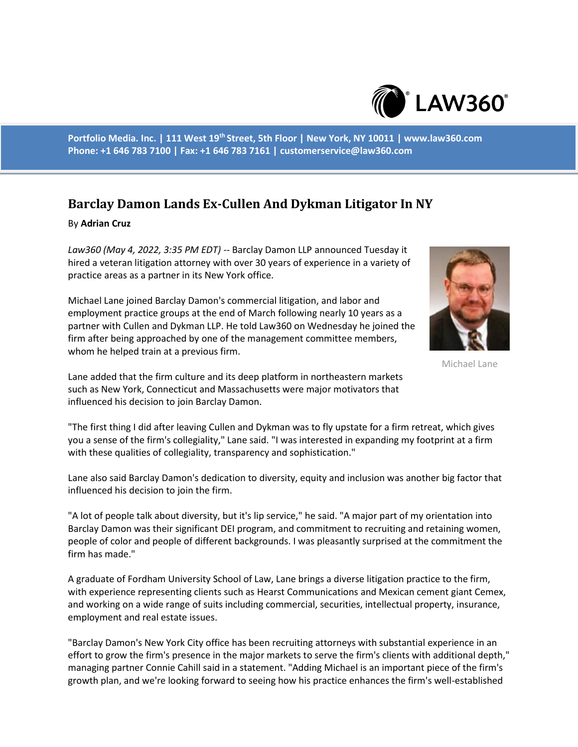

**Portfolio Media. Inc. | 111 West 19th Street, 5th Floor | New York, NY 10011 | www.law360.com Phone: +1 646 783 7100 | Fax: +1 646 783 7161 | customerservice@law360.com**

## **Barclay Damon Lands Ex-Cullen And Dykman Litigator In NY**

## By **Adrian Cruz**

*Law360 (May 4, 2022, 3:35 PM EDT)* -- Barclay Damon LLP announced Tuesday it hired a veteran litigation attorney with over 30 years of experience in a variety of practice areas as a partner in its New York office.

Michael Lane joined Barclay Damon's commercial litigation, and labor and employment practice groups at the end of March following nearly 10 years as a partner with Cullen and Dykman LLP. He told Law360 on Wednesday he joined the firm after being approached by one of the management committee members, whom he helped train at a previous firm.



Michael Lane

Lane added that the firm culture and its deep platform in northeastern markets such as New York, Connecticut and Massachusetts were major motivators that influenced his decision to join Barclay Damon.

"The first thing I did after leaving Cullen and Dykman was to fly upstate for a firm retreat, which gives you a sense of the firm's collegiality," Lane said. "I was interested in expanding my footprint at a firm with these qualities of collegiality, transparency and sophistication."

Lane also said Barclay Damon's dedication to diversity, equity and inclusion was another big factor that influenced his decision to join the firm.

"A lot of people talk about diversity, but it's lip service," he said. "A major part of my orientation into Barclay Damon was their significant DEI program, and commitment to recruiting and retaining women, people of color and people of different backgrounds. I was pleasantly surprised at the commitment the firm has made."

A graduate of Fordham University School of Law, Lane brings a diverse litigation practice to the firm, with experience representing clients such as Hearst Communications and Mexican cement giant Cemex, and working on a wide range of suits including commercial, securities, intellectual property, insurance, employment and real estate issues.

"Barclay Damon's New York City office has been recruiting attorneys with substantial experience in an effort to grow the firm's presence in the major markets to serve the firm's clients with additional depth," managing partner Connie Cahill said in a statement. "Adding Michael is an important piece of the firm's growth plan, and we're looking forward to seeing how his practice enhances the firm's well-established